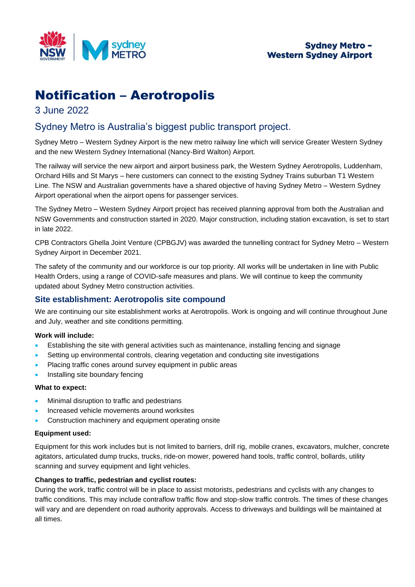

# Notification – Aerotropolis

# 3 June 2022

# Sydney Metro is Australia's biggest public transport project.

Sydney Metro – Western Sydney Airport is the new metro railway line which will service Greater Western Sydney and the new Western Sydney International (Nancy-Bird Walton) Airport.

The railway will service the new airport and airport business park, the Western Sydney Aerotropolis, Luddenham, Orchard Hills and St Marys – here customers can connect to the existing Sydney Trains suburban T1 Western Line. The NSW and Australian governments have a shared objective of having Sydney Metro – Western Sydney Airport operational when the airport opens for passenger services.

The Sydney Metro – Western Sydney Airport project has received planning approval from both the Australian and NSW Governments and construction started in 2020. Major construction, including station excavation, is set to start in late 2022.

CPB Contractors Ghella Joint Venture (CPBGJV) was awarded the tunnelling contract for Sydney Metro – Western Sydney Airport in December 2021.

The safety of the community and our workforce is our top priority. All works will be undertaken in line with Public Health Orders, using a range of COVID-safe measures and plans. We will continue to keep the community updated about Sydney Metro construction activities.

# **Site establishment: Aerotropolis site compound**

We are continuing our site establishment works at Aerotropolis. Work is ongoing and will continue throughout June and July, weather and site conditions permitting.

### **Work will include:**

- Establishing the site with general activities such as maintenance, installing fencing and signage
- Setting up environmental controls, clearing vegetation and conducting site investigations
- Placing traffic cones around survey equipment in public areas
- Installing site boundary fencing

#### **What to expect:**

- Minimal disruption to traffic and pedestrians
- Increased vehicle movements around worksites
- Construction machinery and equipment operating onsite

#### **Equipment used:**

Equipment for this work includes but is not limited to barriers, drill rig, mobile cranes, excavators, mulcher, concrete agitators, articulated dump trucks, trucks, ride-on mower, powered hand tools, traffic control, bollards, utility scanning and survey equipment and light vehicles.

#### **Changes to traffic, pedestrian and cyclist routes:**

During the work, traffic control will be in place to assist motorists, pedestrians and cyclists with any changes to traffic conditions. This may include contraflow traffic flow and stop-slow traffic controls. The times of these changes will vary and are dependent on road authority approvals. Access to driveways and buildings will be maintained at all times.